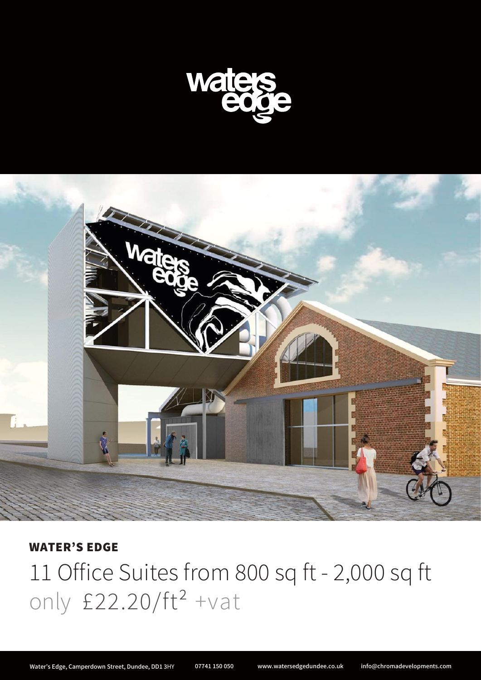



## WATER'S EDGE

11 Office Suites from 800 sq ft - 2,000 sq ft only  $£22.20/ft^2 +vat$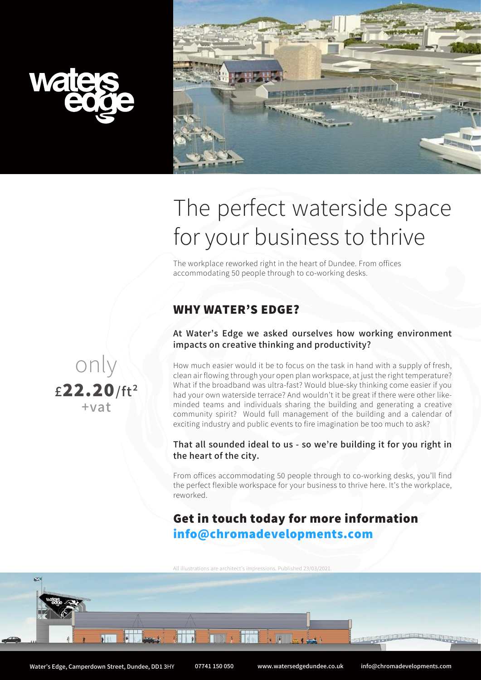



# The perfect waterside space for your business to thrive

The workplace reworked right in the heart of Dundee. From offices accommodating 50 people through to co-working desks.

# WHY WATER'S EDGE?

#### At Water's Edge we asked ourselves how working environment impacts on creative thinking and productivity?

How much easier would it be to focus on the task in hand with a supply of fresh, clean air flowing through your open plan workspace, at just the right temperature? What if the broadband was ultra-fast? Would blue-sky thinking come easier if you had your own waterside terrace? And wouldn't it be great if there were other likeminded teams and individuals sharing the building and generating a creative community spirit? Would full management of the building and a calendar of exciting industry and public events to fire imagination be too much to ask?

#### That all sounded ideal to us - so we're building it for you right in the heart of the city.

From offices accommodating 50 people through to co-working desks, you'll find the perfect flexible workspace for your business to thrive here. It's the workplace, reworked.

# Get in touch today for more information info@chromadevelopments.com

All illustrations are architect's impressions. Published 23/03/2021.

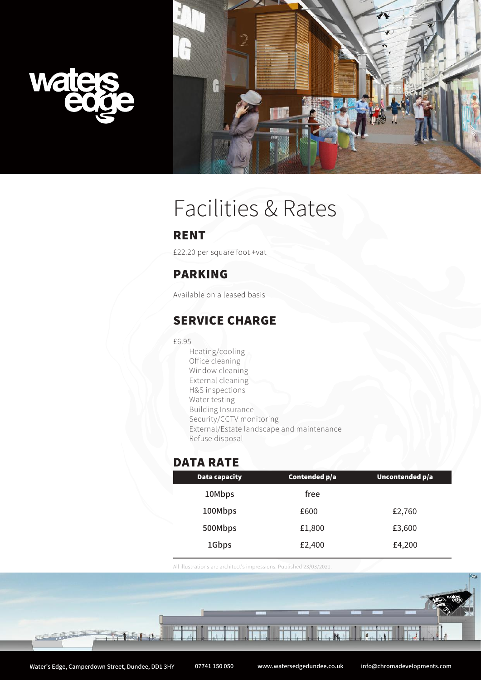



# Facilities & Rates

#### RENT

£22.20 per square foot +vat

# PARKING

Available on a leased basis

### SERVICE CHARGE

£6.95

Heating/cooling Office cleaning Window cleaning External cleaning H&S inspections Water testing Building Insurance Security/CCTV monitoring External/Estate landscape and maintenance Refuse disposal

## DATA RATE

| Data capacity | Contended p/a | Uncontended p/a |
|---------------|---------------|-----------------|
| 10Mbps        | free          |                 |
| 100Mbps       | £600          | £2,760          |
| 500Mbps       | £1,800        | £3,600          |
| 1Gbps         | £2,400        | £4,200          |

All illustrations are architect's impressions. Published 23/03/2021.

 $\frac{1}{2}$ 

IN

Tabil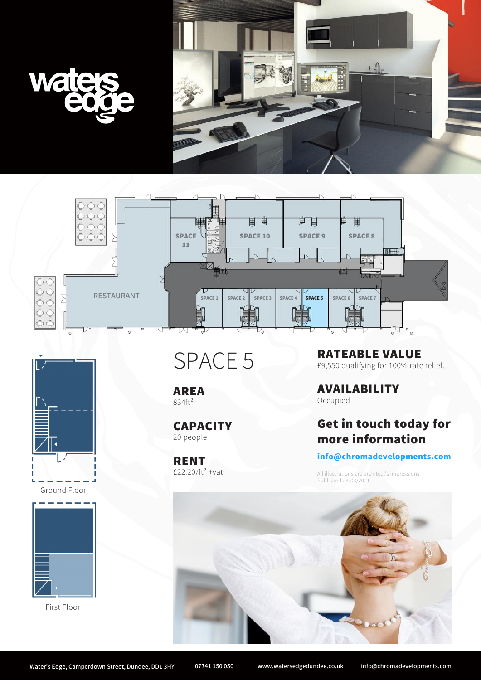







Ground Floor



First Floor

SPACE 5

AREA 834ft²

**CAPACITY** 20 people

RENT £22.20/ $ft^2$  +vat RATEABLE VALUE £9,550 qualifying for 100% rate relief.

AVAILABILITY Occupied

# Get in touch today for more information

#### info@chromadevelopments.com

All illustrations are architect's impressions. Published 23/03/2021.